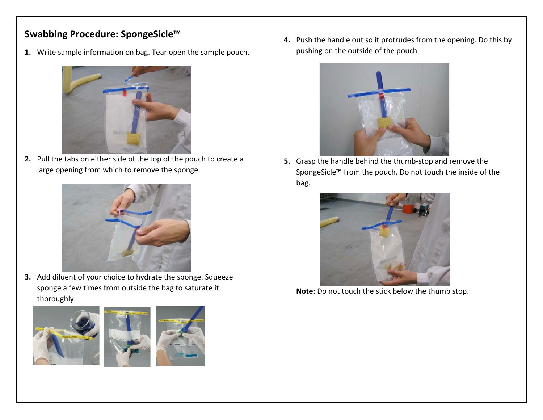## **Swabbing Procedure: SpongeSicle™**

**1.** Write sample information on bag. Tear open the sample pouch.



**2.** Pull the tabs on either side of the top of the pouch to create a large opening from which to remove the sponge.



**3.** Add diluent of your choice to hydrate the sponge. Squeeze sponge a few times from outside the bag to saturate it thoroughly.



**4.** Push the handle out so it protrudes from the opening. Do this by pushing on the outside of the pouch.



**5.** Grasp the handle behind the thumb-stop and remove the SpongeSicle™ from the pouch. Do not touch the inside of the bag.



**Note**: Do not touch the stick below the thumb stop.